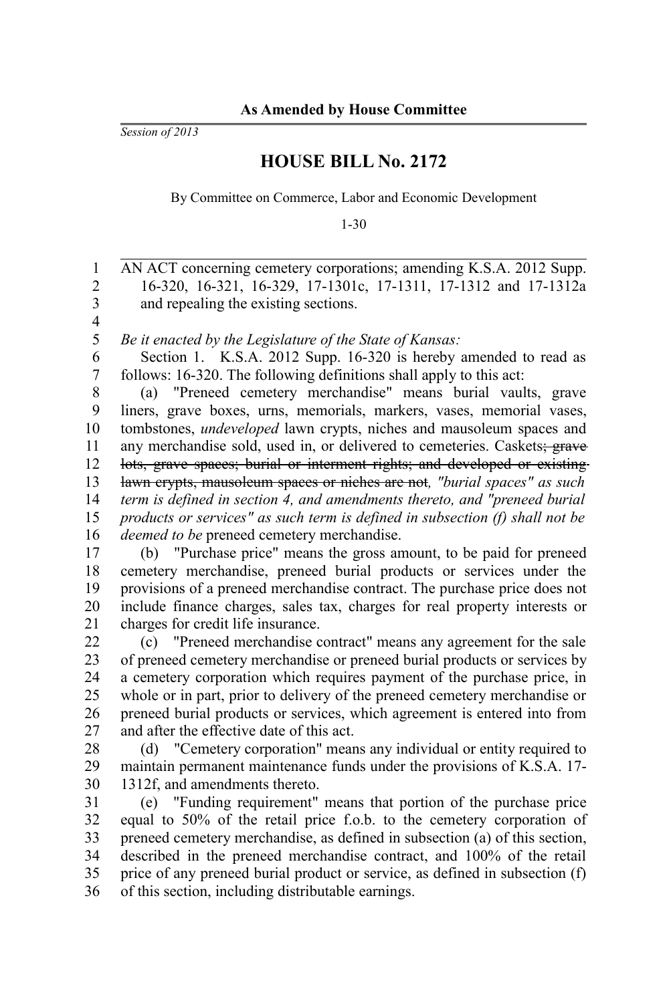*Session of 2013*

## **HOUSE BILL No. 2172**

By Committee on Commerce, Labor and Economic Development

1-30

AN ACT concerning cemetery corporations; amending K.S.A. 2012 Supp. 16-320, 16-321, 16-329, 17-1301c, 17-1311, 17-1312 and 17-1312a and repealing the existing sections. *Be it enacted by the Legislature of the State of Kansas:* Section 1. K.S.A. 2012 Supp. 16-320 is hereby amended to read as follows: 16-320. The following definitions shall apply to this act: (a) "Preneed cemetery merchandise" means burial vaults, grave liners, grave boxes, urns, memorials, markers, vases, memorial vases, tombstones, *undeveloped* lawn crypts, niches and mausoleum spaces and any merchandise sold, used in, or delivered to cemeteries. Caskets; grave lots, grave spaces; burial or interment rights; and developed or existing lawn crypts, mausoleum spaces or niches are not*, "burial spaces" as such term is defined in section 4, and amendments thereto, and "preneed burial products or services" as such term is defined in subsection (f) shall not be deemed to be* preneed cemetery merchandise. (b) "Purchase price" means the gross amount, to be paid for preneed cemetery merchandise, preneed burial products or services under the provisions of a preneed merchandise contract. The purchase price does not include finance charges, sales tax, charges for real property interests or charges for credit life insurance. (c) "Preneed merchandise contract" means any agreement for the sale of preneed cemetery merchandise or preneed burial products or services by a cemetery corporation which requires payment of the purchase price, in whole or in part, prior to delivery of the preneed cemetery merchandise or preneed burial products or services, which agreement is entered into from and after the effective date of this act. (d) "Cemetery corporation" means any individual or entity required to maintain permanent maintenance funds under the provisions of K.S.A. 17- 1312f, and amendments thereto. (e) "Funding requirement" means that portion of the purchase price equal to 50% of the retail price f.o.b. to the cemetery corporation of preneed cemetery merchandise, as defined in subsection (a) of this section, described in the preneed merchandise contract, and 100% of the retail price of any preneed burial product or service, as defined in subsection (f) of this section, including distributable earnings. 1 2 3 4 5 6 7 8 9 10 11 12 13 14 15 16 17 18 19 20 21 22 23 24 25 26 27 28 29 30 31 32 33 34 35 36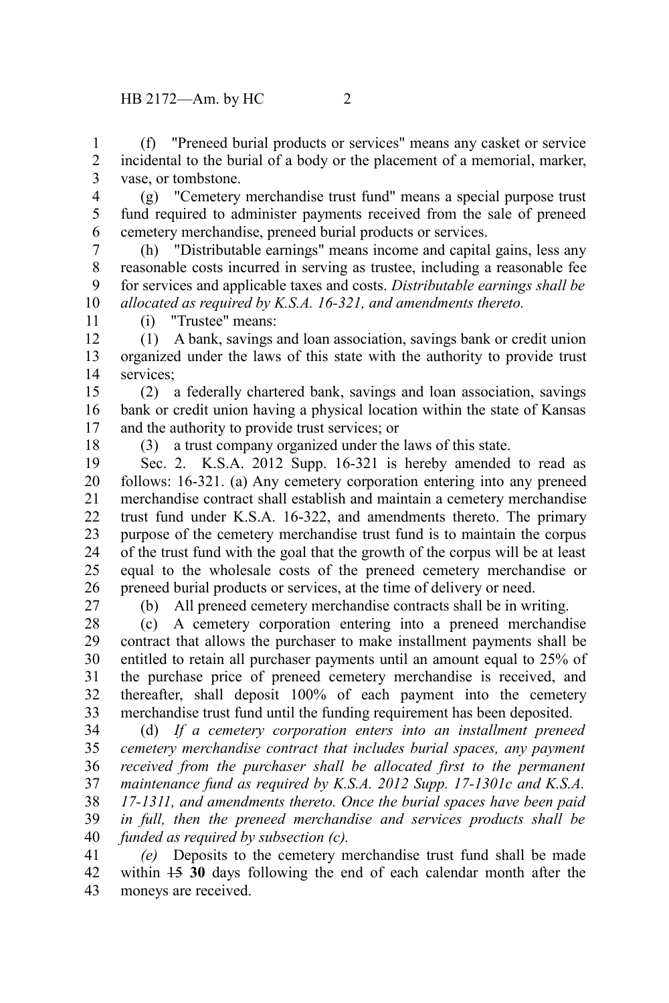(f) "Preneed burial products or services" means any casket or service incidental to the burial of a body or the placement of a memorial, marker, vase, or tombstone. 1 2 3

(g) "Cemetery merchandise trust fund" means a special purpose trust fund required to administer payments received from the sale of preneed cemetery merchandise, preneed burial products or services. 4 5 6

(h) "Distributable earnings" means income and capital gains, less any reasonable costs incurred in serving as trustee, including a reasonable fee for services and applicable taxes and costs. *Distributable earnings shall be allocated as required by K.S.A. 16-321, and amendments thereto.* 7 8 9 10

11

(i) "Trustee" means:

(1) A bank, savings and loan association, savings bank or credit union organized under the laws of this state with the authority to provide trust services<sup>.</sup> 12 13 14

(2) a federally chartered bank, savings and loan association, savings bank or credit union having a physical location within the state of Kansas and the authority to provide trust services; or 15 16 17

18

(3) a trust company organized under the laws of this state.

Sec. 2. K.S.A. 2012 Supp. 16-321 is hereby amended to read as follows: 16-321. (a) Any cemetery corporation entering into any preneed merchandise contract shall establish and maintain a cemetery merchandise trust fund under K.S.A. 16-322, and amendments thereto. The primary purpose of the cemetery merchandise trust fund is to maintain the corpus of the trust fund with the goal that the growth of the corpus will be at least equal to the wholesale costs of the preneed cemetery merchandise or preneed burial products or services, at the time of delivery or need. 19 20 21 22 23 24 25 26

27

(b) All preneed cemetery merchandise contracts shall be in writing.

(c) A cemetery corporation entering into a preneed merchandise contract that allows the purchaser to make installment payments shall be entitled to retain all purchaser payments until an amount equal to 25% of the purchase price of preneed cemetery merchandise is received, and thereafter, shall deposit 100% of each payment into the cemetery merchandise trust fund until the funding requirement has been deposited. 28 29 30 31 32 33

(d) *If a cemetery corporation enters into an installment preneed cemetery merchandise contract that includes burial spaces, any payment received from the purchaser shall be allocated first to the permanent maintenance fund as required by K.S.A. 2012 Supp. 17-1301c and K.S.A. 17-1311, and amendments thereto. Once the burial spaces have been paid in full, then the preneed merchandise and services products shall be funded as required by subsection (c).* 34 35 36 37 38 39 40

*(e)* Deposits to the cemetery merchandise trust fund shall be made within 15 **30** days following the end of each calendar month after the moneys are received. 41 42 43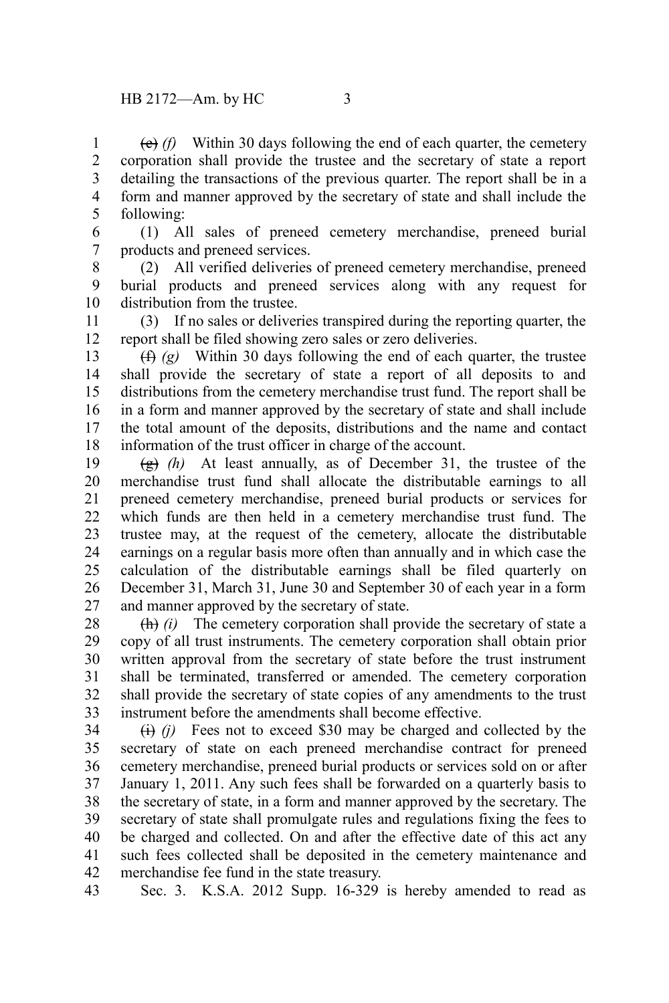(e) *(f)* Within 30 days following the end of each quarter, the cemetery corporation shall provide the trustee and the secretary of state a report detailing the transactions of the previous quarter. The report shall be in a form and manner approved by the secretary of state and shall include the following: 1 2 3 4 5

(1) All sales of preneed cemetery merchandise, preneed burial products and preneed services. 6 7

(2) All verified deliveries of preneed cemetery merchandise, preneed burial products and preneed services along with any request for distribution from the trustee. 8 9 10

(3) If no sales or deliveries transpired during the reporting quarter, the report shall be filed showing zero sales or zero deliveries. 11 12

(f) *(g)* Within 30 days following the end of each quarter, the trustee shall provide the secretary of state a report of all deposits to and distributions from the cemetery merchandise trust fund. The report shall be in a form and manner approved by the secretary of state and shall include the total amount of the deposits, distributions and the name and contact information of the trust officer in charge of the account. 13 14 15 16 17 18

 $\left(\frac{g}{g}\right)$  (h) At least annually, as of December 31, the trustee of the merchandise trust fund shall allocate the distributable earnings to all preneed cemetery merchandise, preneed burial products or services for which funds are then held in a cemetery merchandise trust fund. The trustee may, at the request of the cemetery, allocate the distributable earnings on a regular basis more often than annually and in which case the calculation of the distributable earnings shall be filed quarterly on December 31, March 31, June 30 and September 30 of each year in a form and manner approved by the secretary of state. 19 20 21 22 23 24 25 26 27

(h) *(i)* The cemetery corporation shall provide the secretary of state a copy of all trust instruments. The cemetery corporation shall obtain prior written approval from the secretary of state before the trust instrument shall be terminated, transferred or amended. The cemetery corporation shall provide the secretary of state copies of any amendments to the trust instrument before the amendments shall become effective. 28 29 30 31 32 33

 $(i)$  *(i)* Fees not to exceed \$30 may be charged and collected by the secretary of state on each preneed merchandise contract for preneed cemetery merchandise, preneed burial products or services sold on or after January 1, 2011. Any such fees shall be forwarded on a quarterly basis to the secretary of state, in a form and manner approved by the secretary. The secretary of state shall promulgate rules and regulations fixing the fees to be charged and collected. On and after the effective date of this act any such fees collected shall be deposited in the cemetery maintenance and merchandise fee fund in the state treasury. 34 35 36 37 38 39 40 41 42

Sec. 3. K.S.A. 2012 Supp. 16-329 is hereby amended to read as 43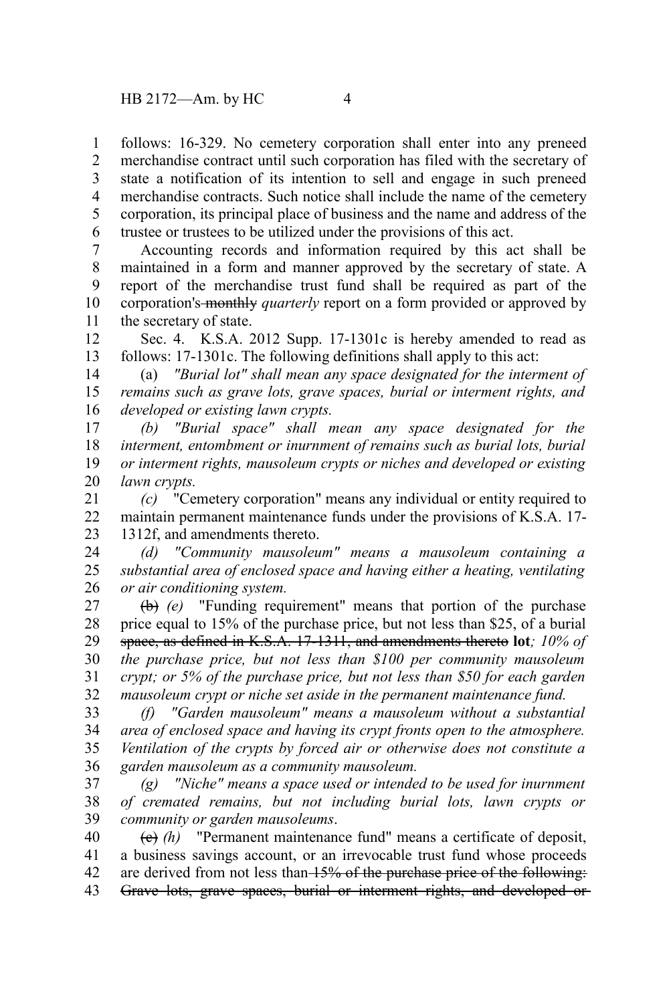follows: 16-329. No cemetery corporation shall enter into any preneed merchandise contract until such corporation has filed with the secretary of state a notification of its intention to sell and engage in such preneed merchandise contracts. Such notice shall include the name of the cemetery corporation, its principal place of business and the name and address of the trustee or trustees to be utilized under the provisions of this act. 1 2 3 4 5 6

Accounting records and information required by this act shall be maintained in a form and manner approved by the secretary of state. A report of the merchandise trust fund shall be required as part of the corporation's monthly *quarterly* report on a form provided or approved by the secretary of state. 7 8 9 10 11

Sec. 4. K.S.A. 2012 Supp. 17-1301c is hereby amended to read as follows: 17-1301c. The following definitions shall apply to this act: 12 13

(a) *"Burial lot" shall mean any space designated for the interment of remains such as grave lots, grave spaces, burial or interment rights, and developed or existing lawn crypts.* 14 15 16

*(b) "Burial space" shall mean any space designated for the interment, entombment or inurnment of remains such as burial lots, burial or interment rights, mausoleum crypts or niches and developed or existing lawn crypts.* 17 18 19 20

*(c)* "Cemetery corporation" means any individual or entity required to maintain permanent maintenance funds under the provisions of K.S.A. 17- 1312f, and amendments thereto. 21 22 23

*(d) "Community mausoleum" means a mausoleum containing a substantial area of enclosed space and having either a heating, ventilating or air conditioning system.* 24 25 26

(b) *(e)* "Funding requirement" means that portion of the purchase price equal to 15% of the purchase price, but not less than \$25, of a burial space, as defined in K.S.A. 17-1311, and amendments thereto **lot***; 10% of the purchase price, but not less than \$100 per community mausoleum crypt; or 5% of the purchase price, but not less than \$50 for each garden mausoleum crypt or niche set aside in the permanent maintenance fund.*  27 28 29 30 31 32

*(f) "Garden mausoleum" means a mausoleum without a substantial area of enclosed space and having its crypt fronts open to the atmosphere. Ventilation of the crypts by forced air or otherwise does not constitute a garden mausoleum as a community mausoleum.* 33 34 35 36

*(g) "Niche" means a space used or intended to be used for inurnment of cremated remains, but not including burial lots, lawn crypts or community or garden mausoleums*. 37 38 39

(c) *(h)* "Permanent maintenance fund" means a certificate of deposit, a business savings account, or an irrevocable trust fund whose proceeds are derived from not less than 15% of the purchase price of the following: Grave lots, grave spaces, burial or interment rights, and developed or 40 41 42 43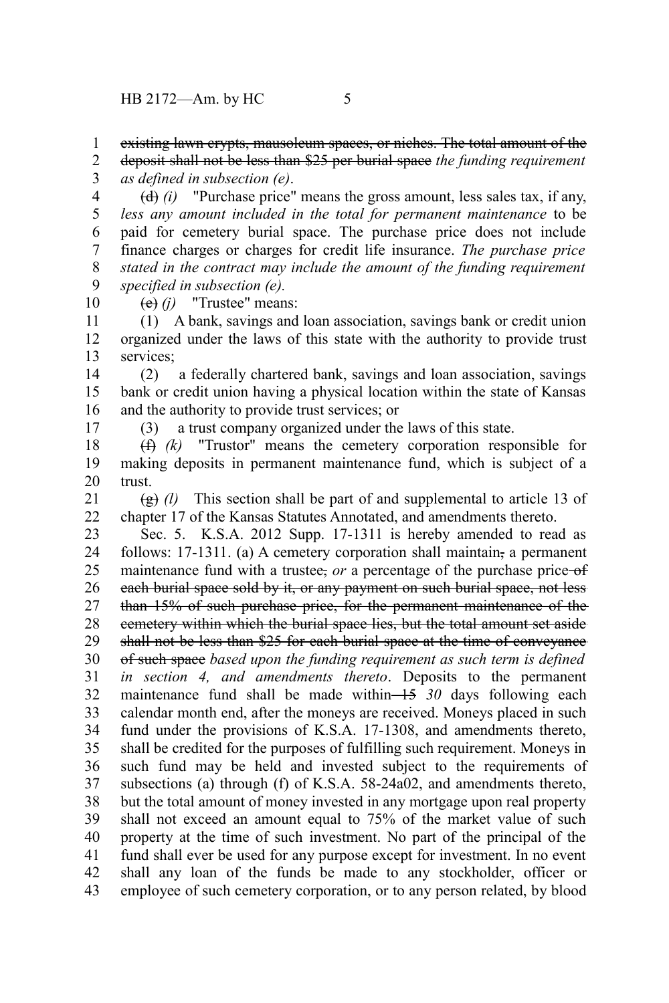existing lawn crypts, mausoleum spaces, or niches. The total amount of the 1

deposit shall not be less than \$25 per burial space *the funding requirement as defined in subsection (e)*. 2 3

(d) *(i)* "Purchase price" means the gross amount, less sales tax, if any, *less any amount included in the total for permanent maintenance* to be paid for cemetery burial space. The purchase price does not include finance charges or charges for credit life insurance. *The purchase price stated in the contract may include the amount of the funding requirement specified in subsection (e).* 4 5 6 7 8 9

(e) *(j)* "Trustee" means:

(1) A bank, savings and loan association, savings bank or credit union organized under the laws of this state with the authority to provide trust services; 11 12 13

(2) a federally chartered bank, savings and loan association, savings bank or credit union having a physical location within the state of Kansas and the authority to provide trust services; or 14 15 16

17

10

(3) a trust company organized under the laws of this state.

(f) *(k)* "Trustor" means the cemetery corporation responsible for making deposits in permanent maintenance fund, which is subject of a trust. 18 19 20

(g) *(l)* This section shall be part of and supplemental to article 13 of chapter 17 of the Kansas Statutes Annotated, and amendments thereto. 21 22

Sec. 5. K.S.A. 2012 Supp. 17-1311 is hereby amended to read as follows: 17-1311. (a) A cemetery corporation shall maintain, a permanent maintenance fund with a trustee, *or* a percentage of the purchase price-of each burial space sold by it, or any payment on such burial space, not less than 15% of such purchase price, for the permanent maintenance of the cemetery within which the burial space lies, but the total amount set aside shall not be less than \$25 for each burial space at the time of conveyance of such space *based upon the funding requirement as such term is defined in section 4, and amendments thereto*. Deposits to the permanent maintenance fund shall be made within 15 30 days following each calendar month end, after the moneys are received. Moneys placed in such fund under the provisions of K.S.A. 17-1308, and amendments thereto, shall be credited for the purposes of fulfilling such requirement. Moneys in such fund may be held and invested subject to the requirements of subsections (a) through (f) of K.S.A. 58-24a02, and amendments thereto, but the total amount of money invested in any mortgage upon real property shall not exceed an amount equal to 75% of the market value of such property at the time of such investment. No part of the principal of the fund shall ever be used for any purpose except for investment. In no event shall any loan of the funds be made to any stockholder, officer or employee of such cemetery corporation, or to any person related, by blood 23 24 25 26 27 28 29 30 31 32 33 34 35 36 37 38 39 40 41 42 43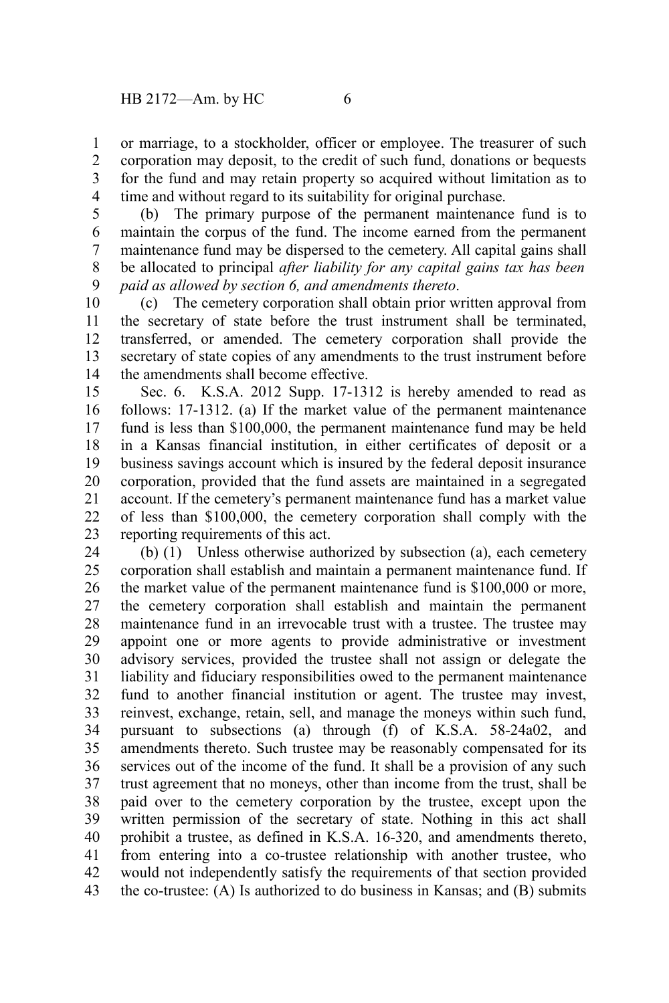or marriage, to a stockholder, officer or employee. The treasurer of such corporation may deposit, to the credit of such fund, donations or bequests for the fund and may retain property so acquired without limitation as to time and without regard to its suitability for original purchase. 1 2 3 4

(b) The primary purpose of the permanent maintenance fund is to maintain the corpus of the fund. The income earned from the permanent maintenance fund may be dispersed to the cemetery. All capital gains shall be allocated to principal *after liability for any capital gains tax has been paid as allowed by section 6, and amendments thereto*. 5 6 7 8 9

(c) The cemetery corporation shall obtain prior written approval from the secretary of state before the trust instrument shall be terminated, transferred, or amended. The cemetery corporation shall provide the secretary of state copies of any amendments to the trust instrument before the amendments shall become effective. 10 11 12 13 14

Sec. 6. K.S.A. 2012 Supp. 17-1312 is hereby amended to read as follows: 17-1312. (a) If the market value of the permanent maintenance fund is less than \$100,000, the permanent maintenance fund may be held in a Kansas financial institution, in either certificates of deposit or a business savings account which is insured by the federal deposit insurance corporation, provided that the fund assets are maintained in a segregated account. If the cemetery's permanent maintenance fund has a market value of less than \$100,000, the cemetery corporation shall comply with the reporting requirements of this act. 15 16 17 18 19 20 21 22 23

(b) (1) Unless otherwise authorized by subsection (a), each cemetery corporation shall establish and maintain a permanent maintenance fund. If the market value of the permanent maintenance fund is \$100,000 or more, the cemetery corporation shall establish and maintain the permanent maintenance fund in an irrevocable trust with a trustee. The trustee may appoint one or more agents to provide administrative or investment advisory services, provided the trustee shall not assign or delegate the liability and fiduciary responsibilities owed to the permanent maintenance fund to another financial institution or agent. The trustee may invest, reinvest, exchange, retain, sell, and manage the moneys within such fund, pursuant to subsections (a) through (f) of K.S.A. 58-24a02, and amendments thereto. Such trustee may be reasonably compensated for its services out of the income of the fund. It shall be a provision of any such trust agreement that no moneys, other than income from the trust, shall be paid over to the cemetery corporation by the trustee, except upon the written permission of the secretary of state. Nothing in this act shall prohibit a trustee, as defined in K.S.A. 16-320, and amendments thereto, from entering into a co-trustee relationship with another trustee, who would not independently satisfy the requirements of that section provided the co-trustee: (A) Is authorized to do business in Kansas; and (B) submits 24 25 26 27 28 29 30 31 32 33 34 35 36 37 38 39 40 41 42 43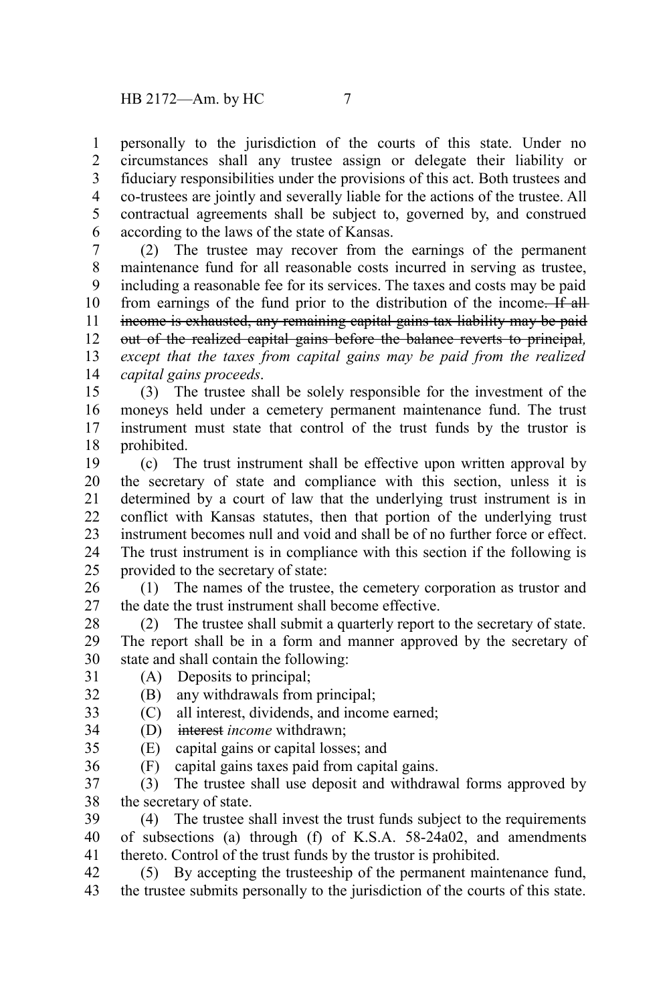personally to the jurisdiction of the courts of this state. Under no circumstances shall any trustee assign or delegate their liability or fiduciary responsibilities under the provisions of this act. Both trustees and co-trustees are jointly and severally liable for the actions of the trustee. All contractual agreements shall be subject to, governed by, and construed according to the laws of the state of Kansas. 1 2 3 4 5 6

(2) The trustee may recover from the earnings of the permanent maintenance fund for all reasonable costs incurred in serving as trustee, including a reasonable fee for its services. The taxes and costs may be paid from earnings of the fund prior to the distribution of the income. If all income is exhausted, any remaining capital gains tax liability may be paid out of the realized capital gains before the balance reverts to principal*, except that the taxes from capital gains may be paid from the realized capital gains proceeds*. 7 8 9 10 11 12 13 14

(3) The trustee shall be solely responsible for the investment of the moneys held under a cemetery permanent maintenance fund. The trust instrument must state that control of the trust funds by the trustor is prohibited. 15 16 17 18

(c) The trust instrument shall be effective upon written approval by the secretary of state and compliance with this section, unless it is determined by a court of law that the underlying trust instrument is in conflict with Kansas statutes, then that portion of the underlying trust instrument becomes null and void and shall be of no further force or effect. The trust instrument is in compliance with this section if the following is provided to the secretary of state: 19 20 21 22 23 24 25

(1) The names of the trustee, the cemetery corporation as trustor and the date the trust instrument shall become effective. 26 27

(2) The trustee shall submit a quarterly report to the secretary of state. The report shall be in a form and manner approved by the secretary of state and shall contain the following: 28 29 30

(A) Deposits to principal; 31

(B) any withdrawals from principal; 32

(C) all interest, dividends, and income earned; 33

(D) interest *income* withdrawn; 34

(E) capital gains or capital losses; and 35

(F) capital gains taxes paid from capital gains. 36

(3) The trustee shall use deposit and withdrawal forms approved by the secretary of state. 37 38

(4) The trustee shall invest the trust funds subject to the requirements of subsections (a) through (f) of K.S.A. 58-24a02, and amendments thereto. Control of the trust funds by the trustor is prohibited. 39 40 41

(5) By accepting the trusteeship of the permanent maintenance fund, the trustee submits personally to the jurisdiction of the courts of this state. 42 43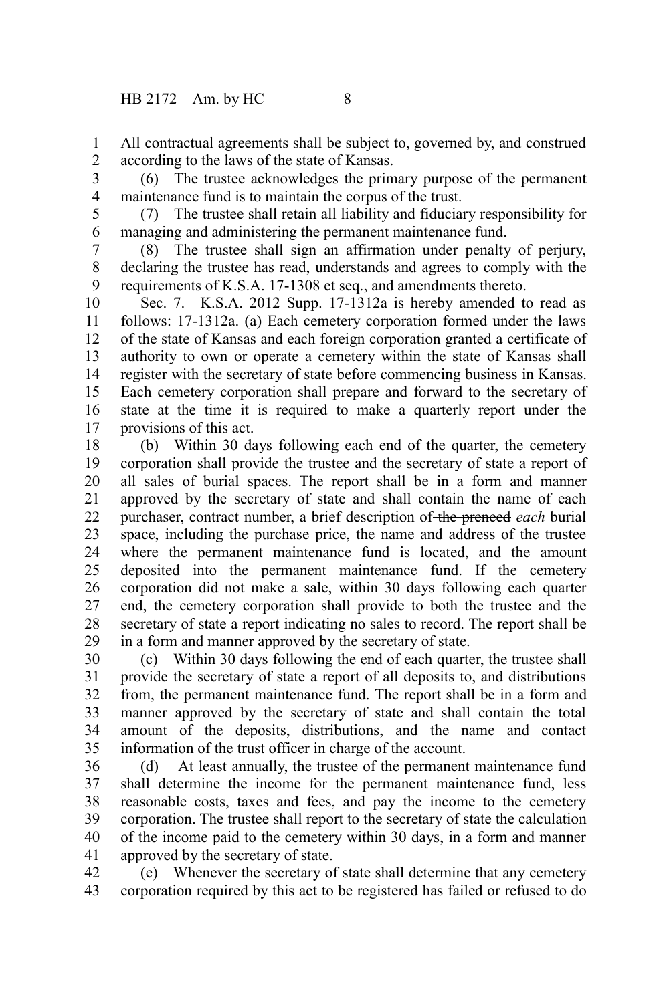All contractual agreements shall be subject to, governed by, and construed according to the laws of the state of Kansas. 1 2

(6) The trustee acknowledges the primary purpose of the permanent maintenance fund is to maintain the corpus of the trust. 3 4

5 6

(7) The trustee shall retain all liability and fiduciary responsibility for managing and administering the permanent maintenance fund.

(8) The trustee shall sign an affirmation under penalty of perjury, declaring the trustee has read, understands and agrees to comply with the requirements of K.S.A. 17-1308 et seq., and amendments thereto. 7 8 9

Sec. 7. K.S.A. 2012 Supp. 17-1312a is hereby amended to read as follows: 17-1312a. (a) Each cemetery corporation formed under the laws of the state of Kansas and each foreign corporation granted a certificate of authority to own or operate a cemetery within the state of Kansas shall register with the secretary of state before commencing business in Kansas. Each cemetery corporation shall prepare and forward to the secretary of state at the time it is required to make a quarterly report under the provisions of this act. 10 11 12 13 14 15 16 17

(b) Within 30 days following each end of the quarter, the cemetery corporation shall provide the trustee and the secretary of state a report of all sales of burial spaces. The report shall be in a form and manner approved by the secretary of state and shall contain the name of each purchaser, contract number, a brief description of the preneed *each* burial space, including the purchase price, the name and address of the trustee where the permanent maintenance fund is located, and the amount deposited into the permanent maintenance fund. If the cemetery corporation did not make a sale, within 30 days following each quarter end, the cemetery corporation shall provide to both the trustee and the secretary of state a report indicating no sales to record. The report shall be in a form and manner approved by the secretary of state. 18 19 20 21 22 23 24 25 26 27 28 29

(c) Within 30 days following the end of each quarter, the trustee shall provide the secretary of state a report of all deposits to, and distributions from, the permanent maintenance fund. The report shall be in a form and manner approved by the secretary of state and shall contain the total amount of the deposits, distributions, and the name and contact information of the trust officer in charge of the account. 30 31 32 33 34 35

(d) At least annually, the trustee of the permanent maintenance fund shall determine the income for the permanent maintenance fund, less reasonable costs, taxes and fees, and pay the income to the cemetery corporation. The trustee shall report to the secretary of state the calculation of the income paid to the cemetery within 30 days, in a form and manner approved by the secretary of state. 36 37 38 39 40 41

(e) Whenever the secretary of state shall determine that any cemetery corporation required by this act to be registered has failed or refused to do 42 43